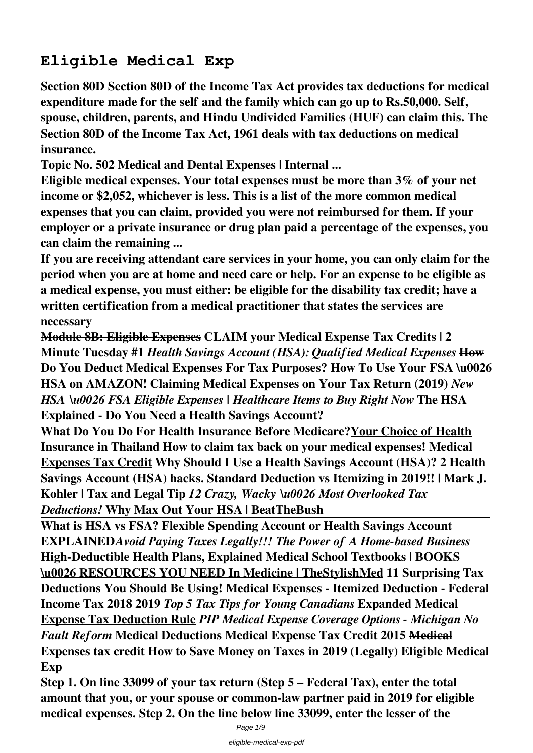# **Eligible Medical Exp**

**Section 80D Section 80D of the Income Tax Act provides tax deductions for medical expenditure made for the self and the family which can go up to Rs.50,000. Self, spouse, children, parents, and Hindu Undivided Families (HUF) can claim this. The Section 80D of the Income Tax Act, 1961 deals with tax deductions on medical insurance.**

**Topic No. 502 Medical and Dental Expenses | Internal ...**

**Eligible medical expenses. Your total expenses must be more than 3% of your net income or \$2,052, whichever is less. This is a list of the more common medical expenses that you can claim, provided you were not reimbursed for them. If your employer or a private insurance or drug plan paid a percentage of the expenses, you can claim the remaining ...**

**If you are receiving attendant care services in your home, you can only claim for the period when you are at home and need care or help. For an expense to be eligible as a medical expense, you must either: be eligible for the disability tax credit; have a written certification from a medical practitioner that states the services are necessary**

**Module 8B: Eligible Expenses CLAIM your Medical Expense Tax Credits | 2 Minute Tuesday #1** *Health Savings Account (HSA): Qualified Medical Expenses* **How Do You Deduct Medical Expenses For Tax Purposes? How To Use Your FSA \u0026 HSA on AMAZON! Claiming Medical Expenses on Your Tax Return (2019)** *New HSA \u0026 FSA Eligible Expenses | Healthcare Items to Buy Right Now* **The HSA Explained - Do You Need a Health Savings Account?** 

**What Do You Do For Health Insurance Before Medicare?Your Choice of Health Insurance in Thailand How to claim tax back on your medical expenses! Medical Expenses Tax Credit Why Should I Use a Health Savings Account (HSA)? 2 Health Savings Account (HSA) hacks. Standard Deduction vs Itemizing in 2019!! | Mark J. Kohler | Tax and Legal Tip** *12 Crazy, Wacky \u0026 Most Overlooked Tax Deductions!* **Why Max Out Your HSA | BeatTheBush**

**What is HSA vs FSA? Flexible Spending Account or Health Savings Account EXPLAINED***Avoid Paying Taxes Legally!!! The Power of A Home-based Business* **High-Deductible Health Plans, Explained Medical School Textbooks | BOOKS \u0026 RESOURCES YOU NEED In Medicine | TheStylishMed 11 Surprising Tax Deductions You Should Be Using! Medical Expenses - Itemized Deduction - Federal Income Tax 2018 2019** *Top 5 Tax Tips for Young Canadians* **Expanded Medical Expense Tax Deduction Rule** *PIP Medical Expense Coverage Options - Michigan No Fault Reform* **Medical Deductions Medical Expense Tax Credit 2015 Medical Expenses tax credit How to Save Money on Taxes in 2019 (Legally) Eligible Medical Exp**

**Step 1. On line 33099 of your tax return (Step 5 – Federal Tax), enter the total amount that you, or your spouse or common-law partner paid in 2019 for eligible medical expenses. Step 2. On the line below line 33099, enter the lesser of the**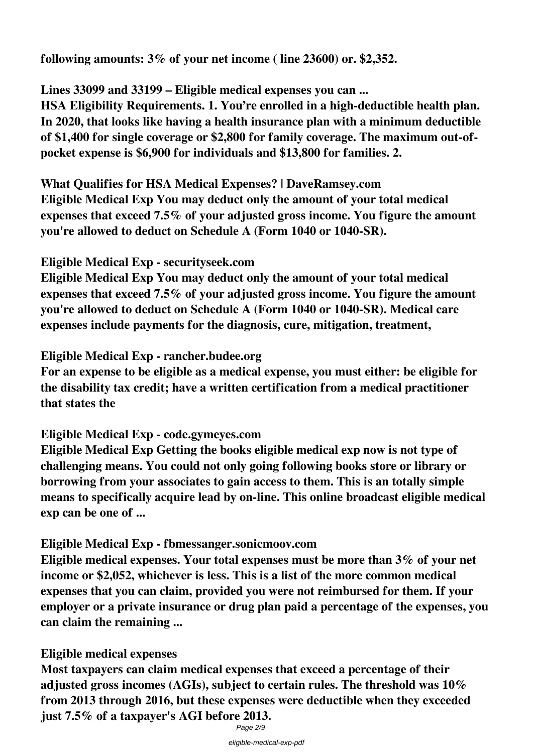**following amounts: 3% of your net income ( line 23600) or. \$2,352.**

# **Lines 33099 and 33199 – Eligible medical expenses you can ...**

**HSA Eligibility Requirements. 1. You're enrolled in a high-deductible health plan. In 2020, that looks like having a health insurance plan with a minimum deductible of \$1,400 for single coverage or \$2,800 for family coverage. The maximum out-ofpocket expense is \$6,900 for individuals and \$13,800 for families. 2.**

### **What Qualifies for HSA Medical Expenses? | DaveRamsey.com Eligible Medical Exp You may deduct only the amount of your total medical expenses that exceed 7.5% of your adjusted gross income. You figure the amount you're allowed to deduct on Schedule A (Form 1040 or 1040-SR).**

## **Eligible Medical Exp - securityseek.com**

**Eligible Medical Exp You may deduct only the amount of your total medical expenses that exceed 7.5% of your adjusted gross income. You figure the amount you're allowed to deduct on Schedule A (Form 1040 or 1040-SR). Medical care expenses include payments for the diagnosis, cure, mitigation, treatment,**

## **Eligible Medical Exp - rancher.budee.org**

**For an expense to be eligible as a medical expense, you must either: be eligible for the disability tax credit; have a written certification from a medical practitioner that states the**

# **Eligible Medical Exp - code.gymeyes.com**

**Eligible Medical Exp Getting the books eligible medical exp now is not type of challenging means. You could not only going following books store or library or borrowing from your associates to gain access to them. This is an totally simple means to specifically acquire lead by on-line. This online broadcast eligible medical exp can be one of ...**

### **Eligible Medical Exp - fbmessanger.sonicmoov.com**

**Eligible medical expenses. Your total expenses must be more than 3% of your net income or \$2,052, whichever is less. This is a list of the more common medical expenses that you can claim, provided you were not reimbursed for them. If your employer or a private insurance or drug plan paid a percentage of the expenses, you can claim the remaining ...**

### **Eligible medical expenses**

**Most taxpayers can claim medical expenses that exceed a percentage of their adjusted gross incomes (AGIs), subject to certain rules. The threshold was 10% from 2013 through 2016, but these expenses were deductible when they exceeded just 7.5% of a taxpayer's AGI before 2013.** Page 2/9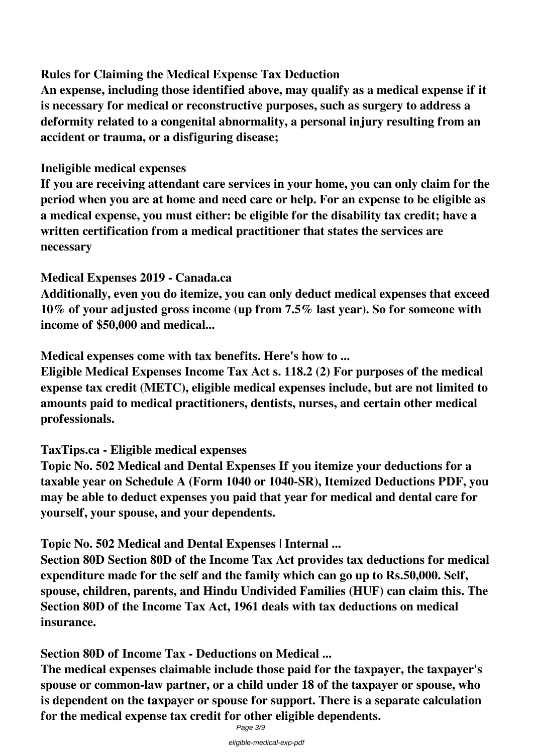### **Rules for Claiming the Medical Expense Tax Deduction**

**An expense, including those identified above, may qualify as a medical expense if it is necessary for medical or reconstructive purposes, such as surgery to address a deformity related to a congenital abnormality, a personal injury resulting from an accident or trauma, or a disfiguring disease;**

### **Ineligible medical expenses**

**If you are receiving attendant care services in your home, you can only claim for the period when you are at home and need care or help. For an expense to be eligible as a medical expense, you must either: be eligible for the disability tax credit; have a written certification from a medical practitioner that states the services are necessary**

## **Medical Expenses 2019 - Canada.ca**

**Additionally, even you do itemize, you can only deduct medical expenses that exceed 10% of your adjusted gross income (up from 7.5% last year). So for someone with income of \$50,000 and medical...**

**Medical expenses come with tax benefits. Here's how to ...**

**Eligible Medical Expenses Income Tax Act s. 118.2 (2) For purposes of the medical expense tax credit (METC), eligible medical expenses include, but are not limited to amounts paid to medical practitioners, dentists, nurses, and certain other medical professionals.**

# **TaxTips.ca - Eligible medical expenses**

**Topic No. 502 Medical and Dental Expenses If you itemize your deductions for a taxable year on Schedule A (Form 1040 or 1040-SR), Itemized Deductions PDF, you may be able to deduct expenses you paid that year for medical and dental care for yourself, your spouse, and your dependents.**

# **Topic No. 502 Medical and Dental Expenses | Internal ...**

**Section 80D Section 80D of the Income Tax Act provides tax deductions for medical expenditure made for the self and the family which can go up to Rs.50,000. Self, spouse, children, parents, and Hindu Undivided Families (HUF) can claim this. The Section 80D of the Income Tax Act, 1961 deals with tax deductions on medical insurance.**

**Section 80D of Income Tax - Deductions on Medical ...**

**The medical expenses claimable include those paid for the taxpayer, the taxpayer's spouse or common-law partner, or a child under 18 of the taxpayer or spouse, who is dependent on the taxpayer or spouse for support. There is a separate calculation for the medical expense tax credit for other eligible dependents.**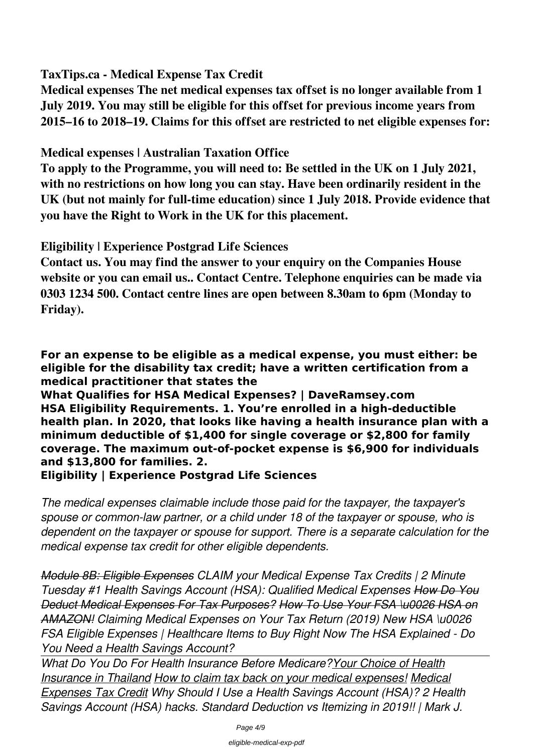# **TaxTips.ca - Medical Expense Tax Credit**

**Medical expenses The net medical expenses tax offset is no longer available from 1 July 2019. You may still be eligible for this offset for previous income years from 2015–16 to 2018–19. Claims for this offset are restricted to net eligible expenses for:**

## **Medical expenses | Australian Taxation Office**

**To apply to the Programme, you will need to: Be settled in the UK on 1 July 2021, with no restrictions on how long you can stay. Have been ordinarily resident in the UK (but not mainly for full-time education) since 1 July 2018. Provide evidence that you have the Right to Work in the UK for this placement.**

## **Eligibility | Experience Postgrad Life Sciences**

**Contact us. You may find the answer to your enquiry on the Companies House website or you can email us.. Contact Centre. Telephone enquiries can be made via 0303 1234 500. Contact centre lines are open between 8.30am to 6pm (Monday to Friday).**

**For an expense to be eligible as a medical expense, you must either: be eligible for the disability tax credit; have a written certification from a medical practitioner that states the**

**What Qualifies for HSA Medical Expenses? | DaveRamsey.com HSA Eligibility Requirements. 1. You're enrolled in a high-deductible health plan. In 2020, that looks like having a health insurance plan with a minimum deductible of \$1,400 for single coverage or \$2,800 for family coverage. The maximum out-of-pocket expense is \$6,900 for individuals and \$13,800 for families. 2.**

### **Eligibility | Experience Postgrad Life Sciences**

*The medical expenses claimable include those paid for the taxpayer, the taxpayer's spouse or common-law partner, or a child under 18 of the taxpayer or spouse, who is dependent on the taxpayer or spouse for support. There is a separate calculation for the medical expense tax credit for other eligible dependents.*

*Module 8B: Eligible Expenses CLAIM your Medical Expense Tax Credits | 2 Minute Tuesday #1 Health Savings Account (HSA): Qualified Medical Expenses How Do You Deduct Medical Expenses For Tax Purposes? How To Use Your FSA \u0026 HSA on AMAZON! Claiming Medical Expenses on Your Tax Return (2019) New HSA \u0026 FSA Eligible Expenses | Healthcare Items to Buy Right Now The HSA Explained - Do You Need a Health Savings Account?* 

*What Do You Do For Health Insurance Before Medicare?Your Choice of Health Insurance in Thailand How to claim tax back on your medical expenses! Medical Expenses Tax Credit Why Should I Use a Health Savings Account (HSA)? 2 Health Savings Account (HSA) hacks. Standard Deduction vs Itemizing in 2019!! | Mark J.*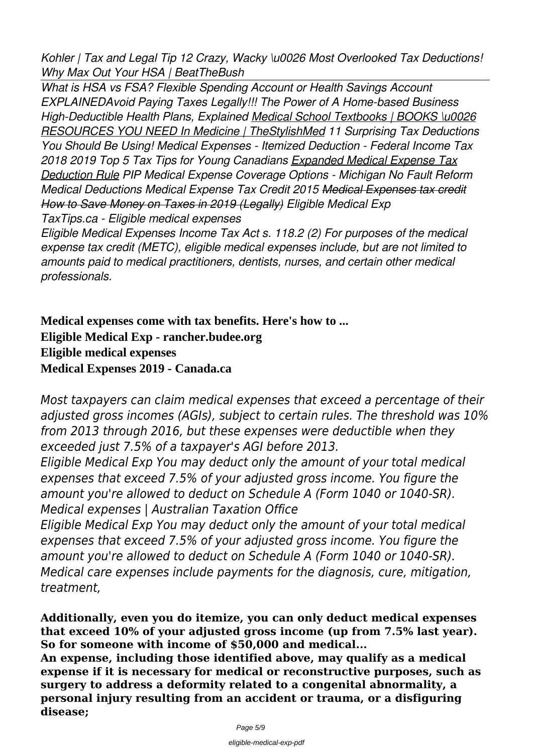*Kohler | Tax and Legal Tip 12 Crazy, Wacky \u0026 Most Overlooked Tax Deductions! Why Max Out Your HSA | BeatTheBush*

*What is HSA vs FSA? Flexible Spending Account or Health Savings Account EXPLAINEDAvoid Paying Taxes Legally!!! The Power of A Home-based Business High-Deductible Health Plans, Explained Medical School Textbooks | BOOKS \u0026 RESOURCES YOU NEED In Medicine | TheStylishMed 11 Surprising Tax Deductions You Should Be Using! Medical Expenses - Itemized Deduction - Federal Income Tax 2018 2019 Top 5 Tax Tips for Young Canadians Expanded Medical Expense Tax Deduction Rule PIP Medical Expense Coverage Options - Michigan No Fault Reform Medical Deductions Medical Expense Tax Credit 2015 Medical Expenses tax credit How to Save Money on Taxes in 2019 (Legally) Eligible Medical Exp TaxTips.ca - Eligible medical expenses*

*Eligible Medical Expenses Income Tax Act s. 118.2 (2) For purposes of the medical expense tax credit (METC), eligible medical expenses include, but are not limited to amounts paid to medical practitioners, dentists, nurses, and certain other medical professionals.*

**Medical expenses come with tax benefits. Here's how to ... Eligible Medical Exp - rancher.budee.org Eligible medical expenses Medical Expenses 2019 - Canada.ca**

*Most taxpayers can claim medical expenses that exceed a percentage of their adjusted gross incomes (AGIs), subject to certain rules. The threshold was 10% from 2013 through 2016, but these expenses were deductible when they exceeded just 7.5% of a taxpayer's AGI before 2013.*

*Eligible Medical Exp You may deduct only the amount of your total medical expenses that exceed 7.5% of your adjusted gross income. You figure the amount you're allowed to deduct on Schedule A (Form 1040 or 1040-SR). Medical expenses | Australian Taxation Office*

*Eligible Medical Exp You may deduct only the amount of your total medical expenses that exceed 7.5% of your adjusted gross income. You figure the amount you're allowed to deduct on Schedule A (Form 1040 or 1040-SR). Medical care expenses include payments for the diagnosis, cure, mitigation, treatment,*

**Additionally, even you do itemize, you can only deduct medical expenses that exceed 10% of your adjusted gross income (up from 7.5% last year). So for someone with income of \$50,000 and medical...**

**An expense, including those identified above, may qualify as a medical expense if it is necessary for medical or reconstructive purposes, such as surgery to address a deformity related to a congenital abnormality, a personal injury resulting from an accident or trauma, or a disfiguring disease;**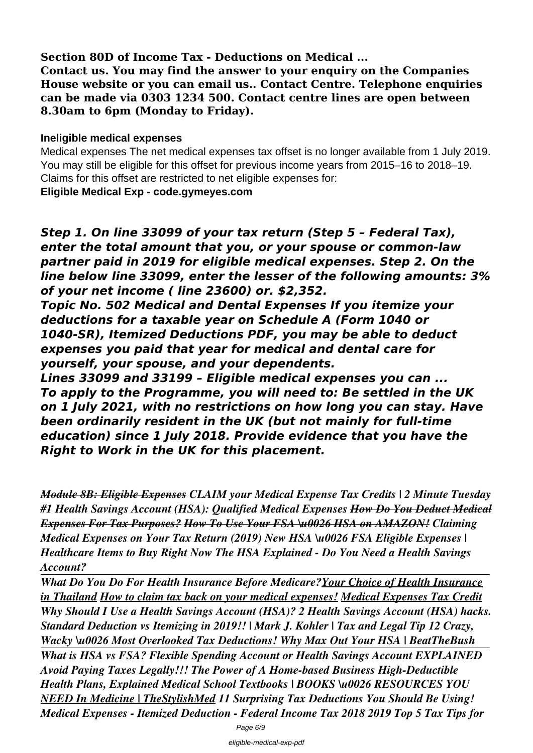**Section 80D of Income Tax - Deductions on Medical ...**

**Contact us. You may find the answer to your enquiry on the Companies House website or you can email us.. Contact Centre. Telephone enquiries can be made via 0303 1234 500. Contact centre lines are open between 8.30am to 6pm (Monday to Friday).**

### **Ineligible medical expenses**

Medical expenses The net medical expenses tax offset is no longer available from 1 July 2019. You may still be eligible for this offset for previous income years from 2015–16 to 2018–19. Claims for this offset are restricted to net eligible expenses for:

**Eligible Medical Exp - code.gymeyes.com**

*Step 1. On line 33099 of your tax return (Step 5 – Federal Tax), enter the total amount that you, or your spouse or common-law partner paid in 2019 for eligible medical expenses. Step 2. On the line below line 33099, enter the lesser of the following amounts: 3% of your net income ( line 23600) or. \$2,352.*

*Topic No. 502 Medical and Dental Expenses If you itemize your deductions for a taxable year on Schedule A (Form 1040 or 1040-SR), Itemized Deductions PDF, you may be able to deduct expenses you paid that year for medical and dental care for yourself, your spouse, and your dependents.*

*Lines 33099 and 33199 – Eligible medical expenses you can ... To apply to the Programme, you will need to: Be settled in the UK on 1 July 2021, with no restrictions on how long you can stay. Have been ordinarily resident in the UK (but not mainly for full-time education) since 1 July 2018. Provide evidence that you have the Right to Work in the UK for this placement.*

*Module 8B: Eligible Expenses CLAIM your Medical Expense Tax Credits | 2 Minute Tuesday #1 Health Savings Account (HSA): Qualified Medical Expenses How Do You Deduct Medical Expenses For Tax Purposes? How To Use Your FSA \u0026 HSA on AMAZON! Claiming Medical Expenses on Your Tax Return (2019) New HSA \u0026 FSA Eligible Expenses | Healthcare Items to Buy Right Now The HSA Explained - Do You Need a Health Savings Account?* 

*What Do You Do For Health Insurance Before Medicare?Your Choice of Health Insurance in Thailand How to claim tax back on your medical expenses! Medical Expenses Tax Credit Why Should I Use a Health Savings Account (HSA)? 2 Health Savings Account (HSA) hacks. Standard Deduction vs Itemizing in 2019!!* | Mark J. Kohler | Tax and Legal Tip 12 Crazy, *Wacky \u0026 Most Overlooked Tax Deductions! Why Max Out Your HSA | BeatTheBush What is HSA vs FSA? Flexible Spending Account or Health Savings Account EXPLAINED Avoid Paying Taxes Legally!!! The Power of A Home-based Business High-Deductible Health Plans, Explained Medical School Textbooks | BOOKS \u0026 RESOURCES YOU NEED In Medicine | TheStylishMed 11 Surprising Tax Deductions You Should Be Using! Medical Expenses - Itemized Deduction - Federal Income Tax 2018 2019 Top 5 Tax Tips for*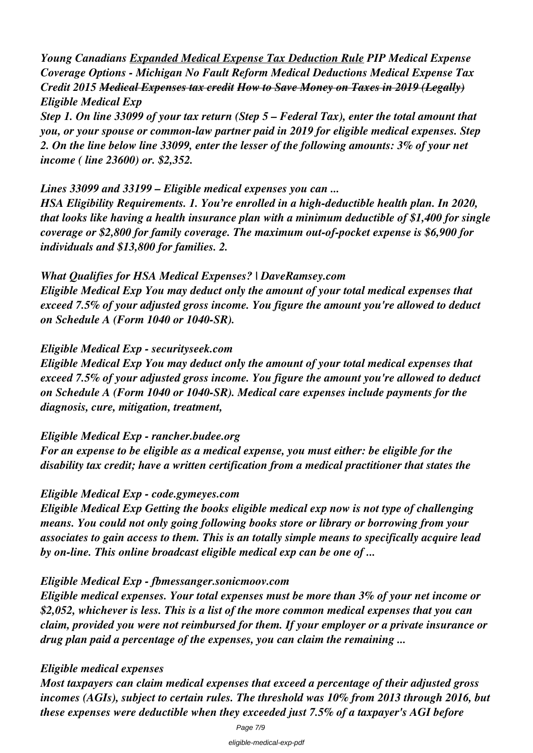*Young Canadians Expanded Medical Expense Tax Deduction Rule PIP Medical Expense Coverage Options - Michigan No Fault Reform Medical Deductions Medical Expense Tax Credit 2015 Medical Expenses tax credit How to Save Money on Taxes in 2019 (Legally) Eligible Medical Exp*

*Step 1. On line 33099 of your tax return (Step 5 – Federal Tax), enter the total amount that you, or your spouse or common-law partner paid in 2019 for eligible medical expenses. Step 2. On the line below line 33099, enter the lesser of the following amounts: 3% of your net income ( line 23600) or. \$2,352.*

#### *Lines 33099 and 33199 – Eligible medical expenses you can ...*

*HSA Eligibility Requirements. 1. You're enrolled in a high-deductible health plan. In 2020, that looks like having a health insurance plan with a minimum deductible of \$1,400 for single coverage or \$2,800 for family coverage. The maximum out-of-pocket expense is \$6,900 for individuals and \$13,800 for families. 2.*

#### *What Qualifies for HSA Medical Expenses? | DaveRamsey.com*

*Eligible Medical Exp You may deduct only the amount of your total medical expenses that exceed 7.5% of your adjusted gross income. You figure the amount you're allowed to deduct on Schedule A (Form 1040 or 1040-SR).*

#### *Eligible Medical Exp - securityseek.com*

*Eligible Medical Exp You may deduct only the amount of your total medical expenses that exceed 7.5% of your adjusted gross income. You figure the amount you're allowed to deduct on Schedule A (Form 1040 or 1040-SR). Medical care expenses include payments for the diagnosis, cure, mitigation, treatment,*

#### *Eligible Medical Exp - rancher.budee.org*

*For an expense to be eligible as a medical expense, you must either: be eligible for the disability tax credit; have a written certification from a medical practitioner that states the*

#### *Eligible Medical Exp - code.gymeyes.com*

*Eligible Medical Exp Getting the books eligible medical exp now is not type of challenging means. You could not only going following books store or library or borrowing from your associates to gain access to them. This is an totally simple means to specifically acquire lead by on-line. This online broadcast eligible medical exp can be one of ...*

#### *Eligible Medical Exp - fbmessanger.sonicmoov.com*

*Eligible medical expenses. Your total expenses must be more than 3% of your net income or \$2,052, whichever is less. This is a list of the more common medical expenses that you can claim, provided you were not reimbursed for them. If your employer or a private insurance or drug plan paid a percentage of the expenses, you can claim the remaining ...*

#### *Eligible medical expenses*

*Most taxpayers can claim medical expenses that exceed a percentage of their adjusted gross incomes (AGIs), subject to certain rules. The threshold was 10% from 2013 through 2016, but these expenses were deductible when they exceeded just 7.5% of a taxpayer's AGI before*

Page 7/9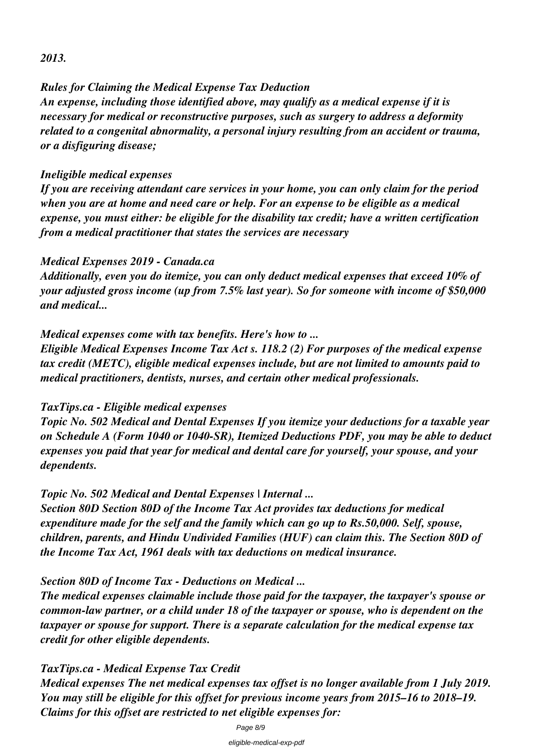#### *2013.*

*Rules for Claiming the Medical Expense Tax Deduction An expense, including those identified above, may qualify as a medical expense if it is necessary for medical or reconstructive purposes, such as surgery to address a deformity related to a congenital abnormality, a personal injury resulting from an accident or trauma, or a disfiguring disease;*

### *Ineligible medical expenses*

*If you are receiving attendant care services in your home, you can only claim for the period when you are at home and need care or help. For an expense to be eligible as a medical expense, you must either: be eligible for the disability tax credit; have a written certification from a medical practitioner that states the services are necessary*

### *Medical Expenses 2019 - Canada.ca*

*Additionally, even you do itemize, you can only deduct medical expenses that exceed 10% of your adjusted gross income (up from 7.5% last year). So for someone with income of \$50,000 and medical...*

### *Medical expenses come with tax benefits. Here's how to ...*

*Eligible Medical Expenses Income Tax Act s. 118.2 (2) For purposes of the medical expense tax credit (METC), eligible medical expenses include, but are not limited to amounts paid to medical practitioners, dentists, nurses, and certain other medical professionals.*

### *TaxTips.ca - Eligible medical expenses*

*Topic No. 502 Medical and Dental Expenses If you itemize your deductions for a taxable year on Schedule A (Form 1040 or 1040-SR), Itemized Deductions PDF, you may be able to deduct expenses you paid that year for medical and dental care for yourself, your spouse, and your dependents.*

### *Topic No. 502 Medical and Dental Expenses | Internal ...*

*Section 80D Section 80D of the Income Tax Act provides tax deductions for medical expenditure made for the self and the family which can go up to Rs.50,000. Self, spouse, children, parents, and Hindu Undivided Families (HUF) can claim this. The Section 80D of the Income Tax Act, 1961 deals with tax deductions on medical insurance.*

### *Section 80D of Income Tax - Deductions on Medical ...*

*The medical expenses claimable include those paid for the taxpayer, the taxpayer's spouse or common-law partner, or a child under 18 of the taxpayer or spouse, who is dependent on the taxpayer or spouse for support. There is a separate calculation for the medical expense tax credit for other eligible dependents.*

### *TaxTips.ca - Medical Expense Tax Credit Medical expenses The net medical expenses tax offset is no longer available from 1 July 2019. You may still be eligible for this offset for previous income years from 2015–16 to 2018–19. Claims for this offset are restricted to net eligible expenses for:*

Page 8/9